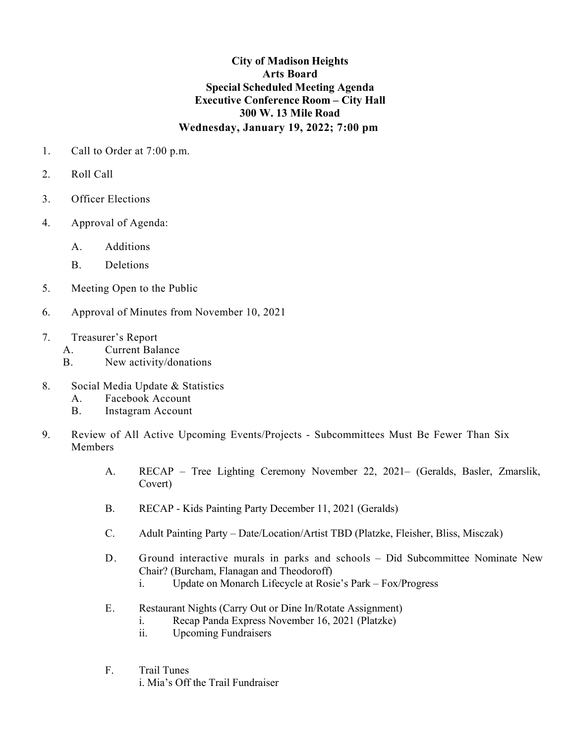## **City of Madison Heights Arts Board Special Scheduled Meeting Agenda Executive Conference Room – City Hall 300 W. 13 Mile Road Wednesday, January 19, 2022; 7:00 pm**

- 1. Call to Order at 7:00 p.m.
- 2. Roll Call
- 3. Officer Elections
- 4. Approval of Agenda:
	- A. Additions
	- B. Deletions
- 5. Meeting Open to the Public
- 6. Approval of Minutes from November 10, 2021
- 7. Treasurer's Report
	- A. Current Balance
	- B. New activity/donations
- 8. Social Media Update & Statistics
	- A. Facebook Account
	- B. Instagram Account
- 9. Review of All Active Upcoming Events/Projects Subcommittees Must Be Fewer Than Six Members
	- A. RECAP Tree Lighting Ceremony November 22, 2021– (Geralds, Basler, Zmarslik, Covert)
	- B. RECAP Kids Painting Party December 11, 2021 (Geralds)
	- C. Adult Painting Party Date/Location/Artist TBD (Platzke, Fleisher, Bliss, Misczak)
	- D. Ground interactive murals in parks and schools Did Subcommittee Nominate New Chair? (Burcham, Flanagan and Theodoroff)
		- i. Update on Monarch Lifecycle at Rosie's Park Fox/Progress
	- E. Restaurant Nights (Carry Out or Dine In/Rotate Assignment)
		- i. Recap Panda Express November 16, 2021 (Platzke)
		- ii. Upcoming Fundraisers
	- F. Trail Tunes i. Mia's Off the Trail Fundraiser